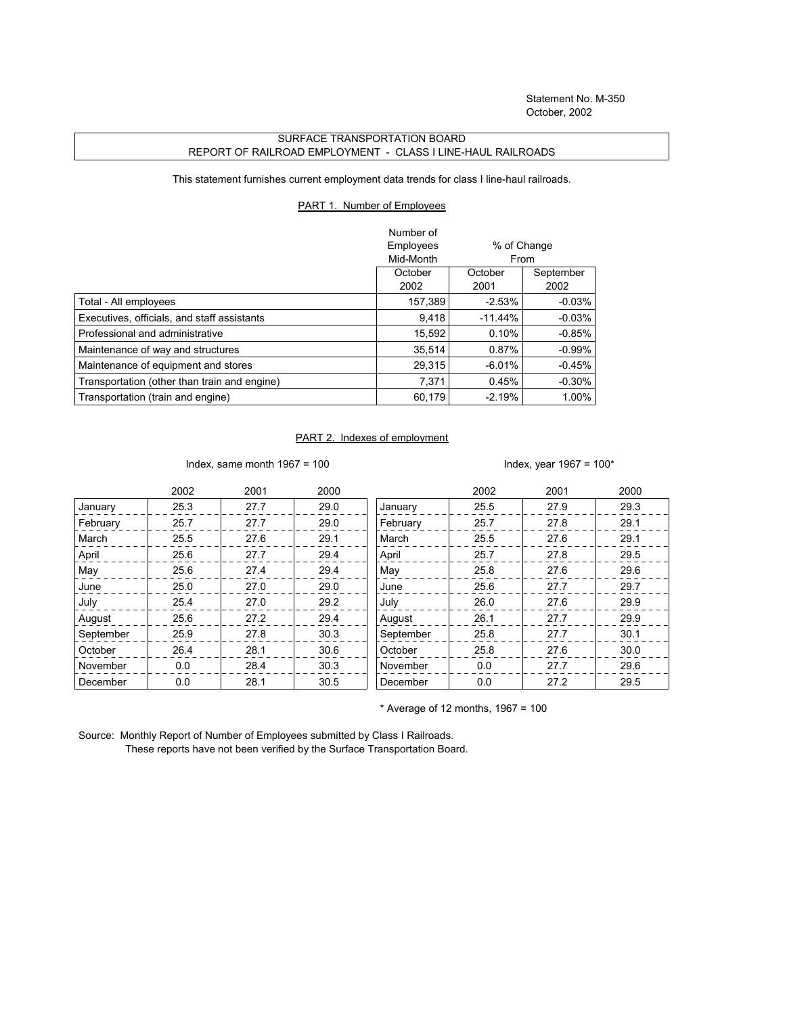## SURFACE TRANSPORTATION BOARD REPORT OF RAILROAD EMPLOYMENT - CLASS I LINE-HAUL RAILROADS

This statement furnishes current employment data trends for class I line-haul railroads.

## PART 1. Number of Employees

|                                              | Number of |                     |           |
|----------------------------------------------|-----------|---------------------|-----------|
|                                              | Employees | % of Change<br>From |           |
|                                              | Mid-Month |                     |           |
|                                              | October   | October             | September |
|                                              | 2002      | 2001                | 2002      |
| Total - All employees                        | 157,389   | $-2.53%$            | $-0.03\%$ |
| Executives, officials, and staff assistants  | 9.418     | $-11.44%$           | $-0.03%$  |
| Professional and administrative              | 15.592    | 0.10%               | $-0.85\%$ |
| Maintenance of way and structures            | 35.514    | 0.87%               | $-0.99%$  |
| Maintenance of equipment and stores          | 29.315    | $-6.01%$            | $-0.45%$  |
| Transportation (other than train and engine) | 7.371     | 0.45%               | $-0.30%$  |
| Transportation (train and engine)            | 60.179    | $-2.19%$            | 1.00%     |

## PART 2. Indexes of employment

Index, same month 1967 = 100  $\blacksquare$ 

|           | 2002 | 2001 | 2000 |           | 2002 | 2001 | 2000 |
|-----------|------|------|------|-----------|------|------|------|
| January   | 25.3 | 27.7 | 29.0 | January   | 25.5 | 27.9 | 29.3 |
| February  | 25.7 | 27.7 | 29.0 | February  | 25.7 | 27.8 | 29.1 |
| March     | 25.5 | 27.6 | 29.1 | March     | 25.5 | 27.6 | 29.1 |
| April     | 25.6 | 27.7 | 29.4 | April     | 25.7 | 27.8 | 29.5 |
| May       | 25.6 | 27.4 | 29.4 | May       | 25.8 | 27.6 | 29.6 |
| June      | 25.0 | 27.0 | 29.0 | June      | 25.6 | 27.7 | 29.7 |
| July      | 25.4 | 27.0 | 29.2 | July      | 26.0 | 27.6 | 29.9 |
| August    | 25.6 | 27.2 | 29.4 | August    | 26.1 | 27.7 | 29.9 |
| September | 25.9 | 27.8 | 30.3 | September | 25.8 | 27.7 | 30.1 |
| October   | 26.4 | 28.1 | 30.6 | October   | 25.8 | 27.6 | 30.0 |
| November  | 0.0  | 28.4 | 30.3 | November  | 0.0  | 27.7 | 29.6 |
| December  | 0.0  | 28.1 | 30.5 | December  | 0.0  | 27.2 | 29.5 |

 $*$  Average of 12 months, 1967 = 100

Source: Monthly Report of Number of Employees submitted by Class I Railroads. These reports have not been verified by the Surface Transportation Board.